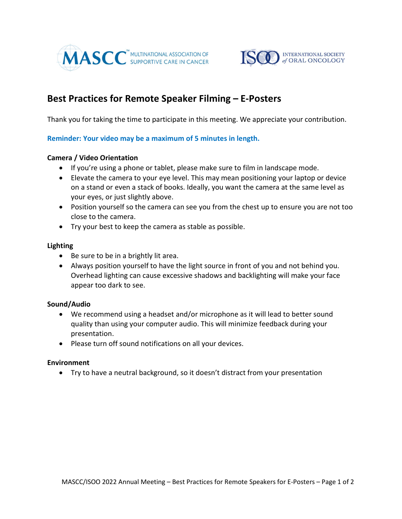



# Best Practices for Remote Speaker Filming – E-Posters

Thank you for taking the time to participate in this meeting. We appreciate your contribution.

## Reminder: Your video may be a maximum of 5 minutes in length.

### Camera / Video Orientation

- If you're using a phone or tablet, please make sure to film in landscape mode.
- Elevate the camera to your eye level. This may mean positioning your laptop or device on a stand or even a stack of books. Ideally, you want the camera at the same level as your eyes, or just slightly above.
- Position yourself so the camera can see you from the chest up to ensure you are not too close to the camera.
- Try your best to keep the camera as stable as possible.

### Lighting

- Be sure to be in a brightly lit area.
- Always position yourself to have the light source in front of you and not behind you. Overhead lighting can cause excessive shadows and backlighting will make your face appear too dark to see.

### Sound/Audio

- We recommend using a headset and/or microphone as it will lead to better sound quality than using your computer audio. This will minimize feedback during your presentation.
- Please turn off sound notifications on all your devices.

### Environment

Try to have a neutral background, so it doesn't distract from your presentation